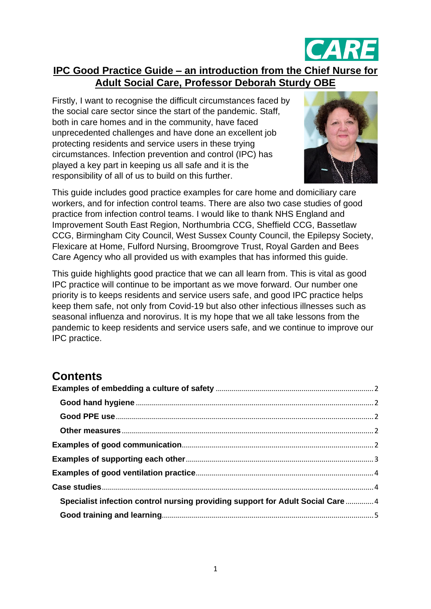

# **IPC Good Practice Guide – an introduction from the Chief Nurse for Adult Social Care, Professor Deborah Sturdy OBE**

Firstly, I want to recognise the difficult circumstances faced by the social care sector since the start of the pandemic. Staff, both in care homes and in the community, have faced unprecedented challenges and have done an excellent job protecting residents and service users in these trying circumstances. Infection prevention and control (IPC) has played a key part in keeping us all safe and it is the responsibility of all of us to build on this further.



This guide includes good practice examples for care home and domiciliary care workers, and for infection control teams. There are also two case studies of good practice from infection control teams. I would like to thank NHS England and Improvement South East Region, Northumbria CCG, Sheffield CCG, Bassetlaw CCG, Birmingham City Council, West Sussex County Council, the Epilepsy Society, Flexicare at Home, Fulford Nursing, Broomgrove Trust, Royal Garden and Bees Care Agency who all provided us with examples that has informed this guide.

This guide highlights good practice that we can all learn from. This is vital as good IPC practice will continue to be important as we move forward. Our number one priority is to keeps residents and service users safe, and good IPC practice helps keep them safe, not only from Covid-19 but also other infectious illnesses such as seasonal influenza and norovirus. It is my hope that we all take lessons from the pandemic to keep residents and service users safe, and we continue to improve our IPC practice.

# **Contents**

| Specialist infection control nursing providing support for Adult Social Care  4 |  |
|---------------------------------------------------------------------------------|--|
|                                                                                 |  |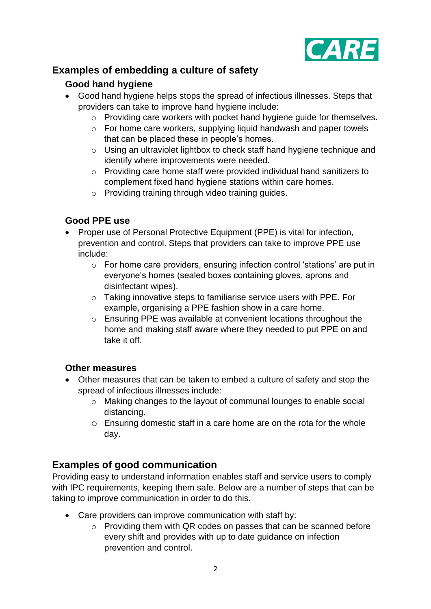

# <span id="page-1-1"></span><span id="page-1-0"></span>**Examples of embedding a culture of safety**

## **Good hand hygiene**

- Good hand hygiene helps stops the spread of infectious illnesses. Steps that providers can take to improve hand hygiene include:
	- o Providing care workers with pocket hand hygiene guide for themselves.
	- o For home care workers, supplying liquid handwash and paper towels that can be placed these in people's homes.
	- o Using an ultraviolet lightbox to check staff hand hygiene technique and identify where improvements were needed.
	- o Providing care home staff were provided individual hand sanitizers to complement fixed hand hygiene stations within care homes.
	- o Providing training through video training guides.

## <span id="page-1-2"></span>**Good PPE use**

- Proper use of Personal Protective Equipment (PPE) is vital for infection, prevention and control. Steps that providers can take to improve PPE use include:
	- o For home care providers, ensuring infection control 'stations' are put in everyone's homes (sealed boxes containing gloves, aprons and disinfectant wipes).
	- o Taking innovative steps to familiarise service users with PPE. For example, organising a PPE fashion show in a care home.
	- o Ensuring PPE was available at convenient locations throughout the home and making staff aware where they needed to put PPE on and take it off.

## <span id="page-1-3"></span>**Other measures**

- Other measures that can be taken to embed a culture of safety and stop the spread of infectious illnesses include:
	- o Making changes to the layout of communal lounges to enable social distancing.
	- o Ensuring domestic staff in a care home are on the rota for the whole day.

# <span id="page-1-4"></span>**Examples of good communication**

Providing easy to understand information enables staff and service users to comply with IPC requirements, keeping them safe. Below are a number of steps that can be taking to improve communication in order to do this.

- Care providers can improve communication with staff by:
	- o Providing them with QR codes on passes that can be scanned before every shift and provides with up to date guidance on infection prevention and control.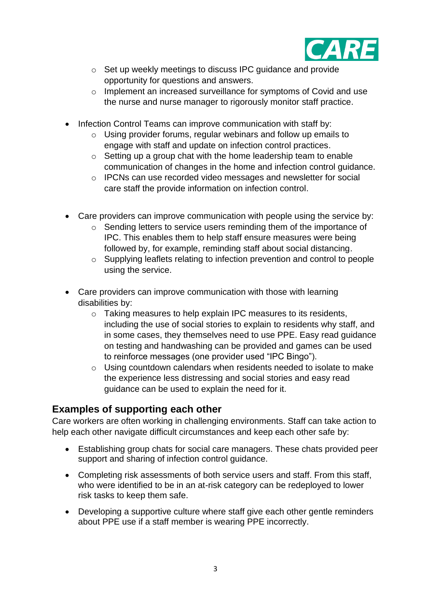

- o Set up weekly meetings to discuss IPC guidance and provide opportunity for questions and answers.
- o Implement an increased surveillance for symptoms of Covid and use the nurse and nurse manager to rigorously monitor staff practice.
- Infection Control Teams can improve communication with staff by:
	- o Using provider forums, regular webinars and follow up emails to engage with staff and update on infection control practices.
	- o Setting up a group chat with the home leadership team to enable communication of changes in the home and infection control guidance.
	- o IPCNs can use recorded video messages and newsletter for social care staff the provide information on infection control.
- Care providers can improve communication with people using the service by:
	- o Sending letters to service users reminding them of the importance of IPC. This enables them to help staff ensure measures were being followed by, for example, reminding staff about social distancing.
	- o Supplying leaflets relating to infection prevention and control to people using the service.
- Care providers can improve communication with those with learning disabilities by:
	- o Taking measures to help explain IPC measures to its residents, including the use of social stories to explain to residents why staff, and in some cases, they themselves need to use PPE. Easy read guidance on testing and handwashing can be provided and games can be used to reinforce messages (one provider used "IPC Bingo").
	- o Using countdown calendars when residents needed to isolate to make the experience less distressing and social stories and easy read guidance can be used to explain the need for it.

# <span id="page-2-0"></span>**Examples of supporting each other**

Care workers are often working in challenging environments. Staff can take action to help each other navigate difficult circumstances and keep each other safe by:

- Establishing group chats for social care managers. These chats provided peer support and sharing of infection control guidance.
- Completing risk assessments of both service users and staff. From this staff, who were identified to be in an at-risk category can be redeployed to lower risk tasks to keep them safe.
- Developing a supportive culture where staff give each other gentle reminders about PPE use if a staff member is wearing PPE incorrectly.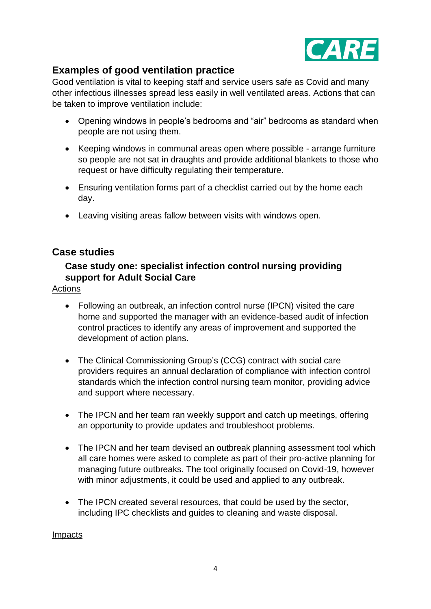

# <span id="page-3-0"></span>**Examples of good ventilation practice**

Good ventilation is vital to keeping staff and service users safe as Covid and many other infectious illnesses spread less easily in well ventilated areas. Actions that can be taken to improve ventilation include:

- Opening windows in people's bedrooms and "air" bedrooms as standard when people are not using them.
- Keeping windows in communal areas open where possible arrange furniture so people are not sat in draughts and provide additional blankets to those who request or have difficulty regulating their temperature.
- Ensuring ventilation forms part of a checklist carried out by the home each day.
- Leaving visiting areas fallow between visits with windows open.

## <span id="page-3-2"></span><span id="page-3-1"></span>**Case studies**

## **Case study one: specialist infection control nursing providing support for Adult Social Care**

#### Actions

- Following an outbreak, an infection control nurse (IPCN) visited the care home and supported the manager with an evidence-based audit of infection control practices to identify any areas of improvement and supported the development of action plans.
- The Clinical Commissioning Group's (CCG) contract with social care providers requires an annual declaration of compliance with infection control standards which the infection control nursing team monitor, providing advice and support where necessary.
- The IPCN and her team ran weekly support and catch up meetings, offering an opportunity to provide updates and troubleshoot problems.
- The IPCN and her team devised an outbreak planning assessment tool which all care homes were asked to complete as part of their pro-active planning for managing future outbreaks. The tool originally focused on Covid-19, however with minor adjustments, it could be used and applied to any outbreak.
- The IPCN created several resources, that could be used by the sector, including IPC checklists and guides to cleaning and waste disposal.

#### Impacts